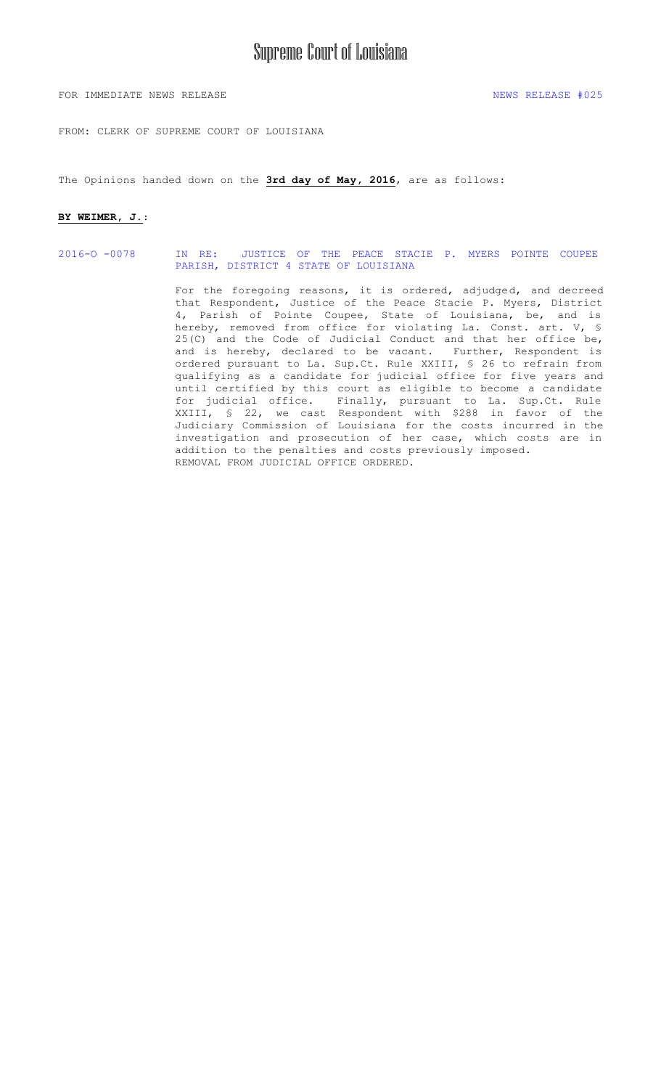FOR IMMEDIATE NEWS RELEASE NEWS RELEASE  $\#025$ 

FROM: CLERK OF SUPREME COURT OF LOUISIANA

The Opinions handed down on the **3rd day of May, 2016**, are as follows:

#### **BY WEIMER, J.**:

2016-O -0078 IN RE: [JUSTICE OF THE PEACE STACIE P. MYERS](#page-1-0) POINTE COUPEE PARISH, DISTRICT 4 STATE OF LOUISIANA

> For the foregoing reasons, it is ordered, adjudged, and decreed that Respondent, Justice of the Peace Stacie P. Myers, District 4, Parish of Pointe Coupee, State of Louisiana, be, and is hereby, removed from office for violating La. Const. art. V, § 25(C) and the Code of Judicial Conduct and that her office be, and is hereby, declared to be vacant. Further, Respondent is ordered pursuant to La. Sup.Ct. Rule XXIII, § 26 to refrain from qualifying as a candidate for judicial office for five years and until certified by this court as eligible to become a candidate for judicial office. Finally, pursuant to La. Sup.Ct. Rule XXIII, § 22, we cast Respondent with \$288 in favor of the Judiciary Commission of Louisiana for the costs incurred in the investigation and prosecution of her case, which costs are in addition to the penalties and costs previously imposed. REMOVAL FROM JUDICIAL OFFICE ORDERED.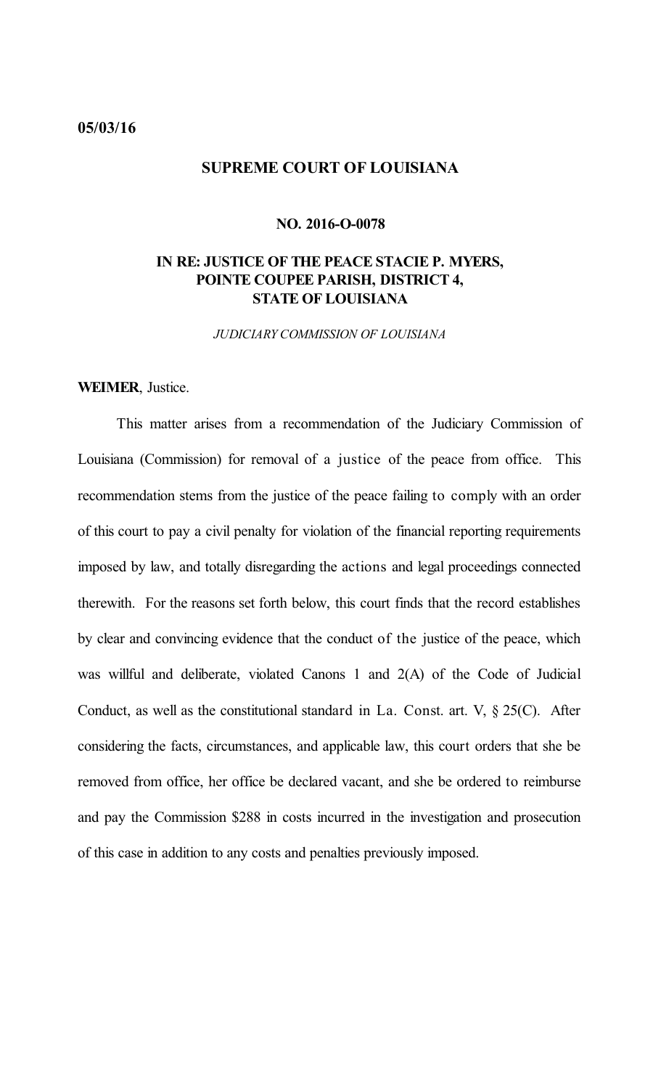### <span id="page-1-0"></span>**05/03/16**

## **SUPREME COURT OF LOUISIANA**

### **NO. 2016-O-0078**

# **IN RE: JUSTICE OF THE PEACE STACIE P. MYERS, POINTE COUPEE PARISH, DISTRICT 4, STATE OF LOUISIANA**

*JUDICIARY COMMISSION OF LOUISIANA*

## **WEIMER**, Justice.

This matter arises from a recommendation of the Judiciary Commission of Louisiana (Commission) for removal of a justice of the peace from office. This recommendation stems from the justice of the peace failing to comply with an order of this court to pay a civil penalty for violation of the financial reporting requirements imposed by law, and totally disregarding the actions and legal proceedings connected therewith. For the reasons set forth below, this court finds that the record establishes by clear and convincing evidence that the conduct of the justice of the peace, which was willful and deliberate, violated Canons 1 and 2(A) of the Code of Judicial Conduct, as well as the constitutional standard in La. Const. art. V, § 25(C). After considering the facts, circumstances, and applicable law, this court orders that she be removed from office, her office be declared vacant, and she be ordered to reimburse and pay the Commission \$288 in costs incurred in the investigation and prosecution of this case in addition to any costs and penalties previously imposed.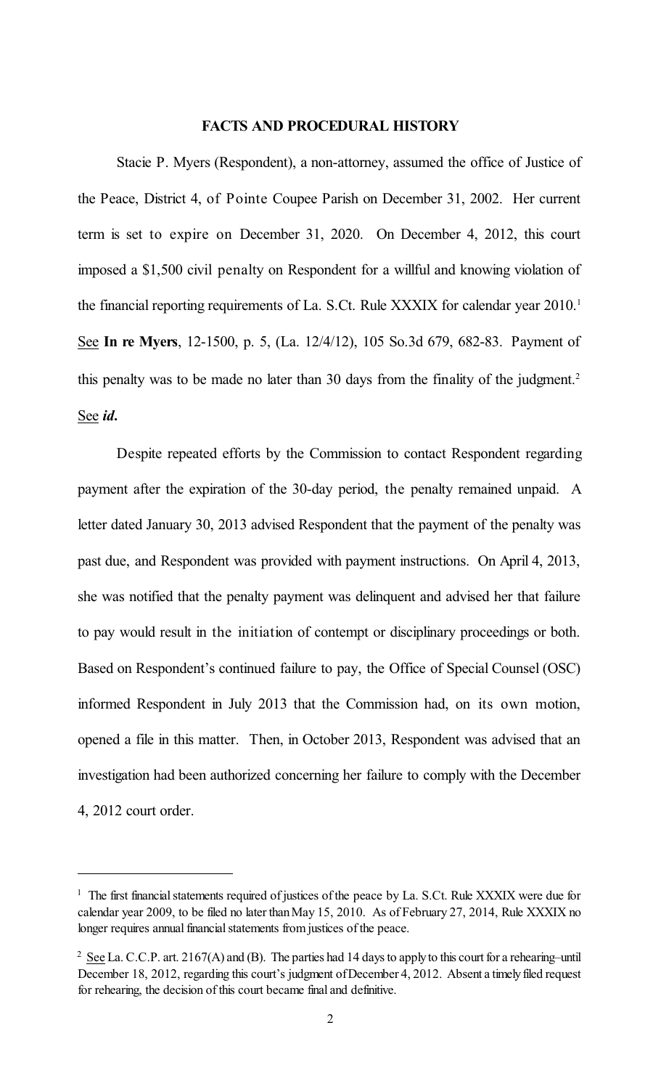## **FACTS AND PROCEDURAL HISTORY**

Stacie P. Myers (Respondent), a non-attorney, assumed the office of Justice of the Peace, District 4, of Pointe Coupee Parish on December 31, 2002. Her current term is set to expire on December 31, 2020. On December 4, 2012, this court imposed a \$1,500 civil penalty on Respondent for a willful and knowing violation of the financial reporting requirements of La. S.Ct. Rule XXXIX for calendar year 2010. 1 See **In re Myers**, 12-1500, p. 5, (La. 12/4/12), 105 So.3d 679, 682-83. Payment of this penalty was to be made no later than 30 days from the finality of the judgment. 2 See *id***.**

Despite repeated efforts by the Commission to contact Respondent regarding payment after the expiration of the 30-day period, the penalty remained unpaid. A letter dated January 30, 2013 advised Respondent that the payment of the penalty was past due, and Respondent was provided with payment instructions. On April 4, 2013, she was notified that the penalty payment was delinquent and advised her that failure to pay would result in the initiation of contempt or disciplinary proceedings or both. Based on Respondent's continued failure to pay, the Office of Special Counsel (OSC) informed Respondent in July 2013 that the Commission had, on its own motion, opened a file in this matter. Then, in October 2013, Respondent was advised that an investigation had been authorized concerning her failure to comply with the December 4, 2012 court order.

 $1$  The first financial statements required of justices of the peace by La. S.Ct. Rule XXXIX were due for calendar year 2009, to be filed no later than May 15, 2010. As of February 27, 2014, Rule XXXIX no longer requires annual financial statements from justices of the peace.

 $2 \text{ See } La$ . C.C.P. art. 2167(A) and (B). The parties had 14 days to apply to this court for a rehearing–until December 18, 2012, regarding this court's judgment of December 4, 2012. Absent a timely filed request for rehearing, the decision of this court became final and definitive.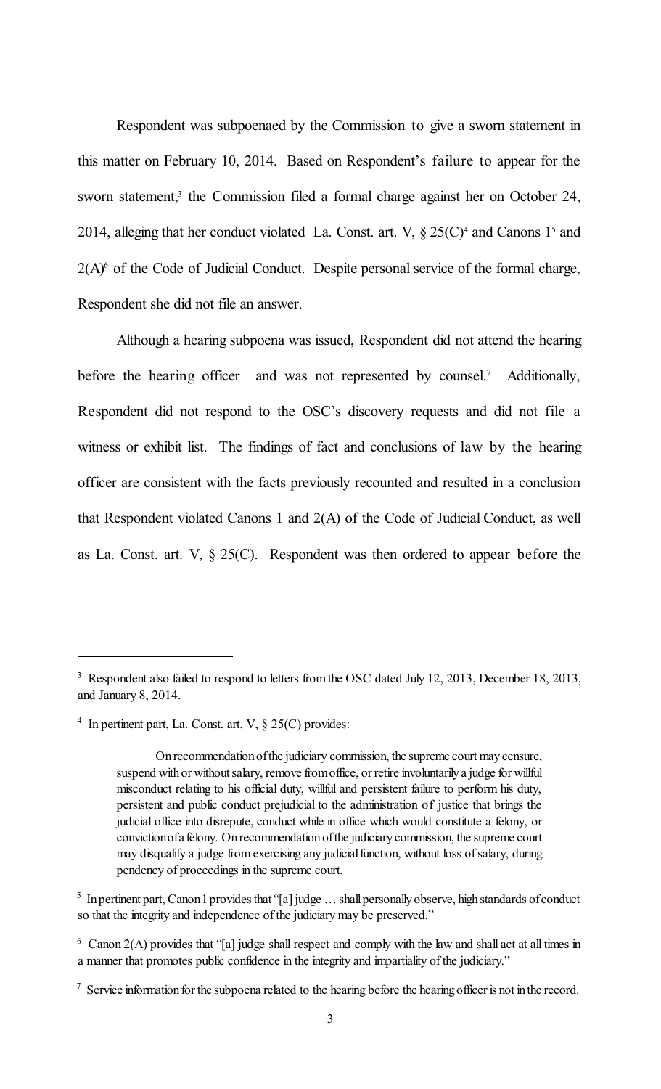Respondent was subpoenaed by the Commission to give a sworn statement in this matter on February 10, 2014. Based on Respondent's failure to appear for the sworn statement,<sup>3</sup> the Commission filed a formal charge against her on October 24, 2014, alleging that her conduct violated La. Const. art. V,  $\S 25(C)^4$  and Canons 1<sup>5</sup> and  $2(A)$ <sup>6</sup> of the Code of Judicial Conduct. Despite personal service of the formal charge, Respondent she did not file an answer.

Although a hearing subpoena was issued, Respondent did not attend the hearing before the hearing officer and was not represented by counsel.<sup>7</sup> Additionally, Respondent did not respond to the OSC's discovery requests and did not file a witness or exhibit list. The findings of fact and conclusions of law by the hearing officer are consistent with the facts previously recounted and resulted in a conclusion that Respondent violated Canons 1 and 2(A) of the Code of Judicial Conduct, as well as La. Const. art. V,  $\S 25(C)$ . Respondent was then ordered to appear before the

<sup>&</sup>lt;sup>3</sup> Respondent also failed to respond to letters from the OSC dated July 12, 2013, December 18, 2013, and January 8, 2014.

<sup>&</sup>lt;sup>4</sup> In pertinent part, La. Const. art. V,  $\S 25(C)$  provides:

Onrecommendationofthe judiciary commission, the supreme court maycensure, suspend with or without salary, remove from office, or retire involuntarily a judge for willful misconduct relating to his official duty, willful and persistent failure to perform his duty, persistent and public conduct prejudicial to the administration of justice that brings the judicial office into disrepute, conduct while in office which would constitute a felony, or convictionofa felony. Onrecommendationofthe judiciarycommission, the supreme court may disqualify a judge from exercising any judicial function, without loss of salary, during pendency of proceedings in the supreme court.

 $5$  In pertinent part, Canon 1 provides that "[a] judge ... shall personally observe, high standards of conduct so that the integrity and independence of the judiciary may be preserved."

 $6 \text{ Canon } 2(A)$  provides that "[a] judge shall respect and comply with the law and shall act at all times in a manner that promotes public confidence in the integrity and impartiality of the judiciary."

 $\frac{1}{2}$  Service information for the subpoena related to the hearing before the hearing officer is not in the record.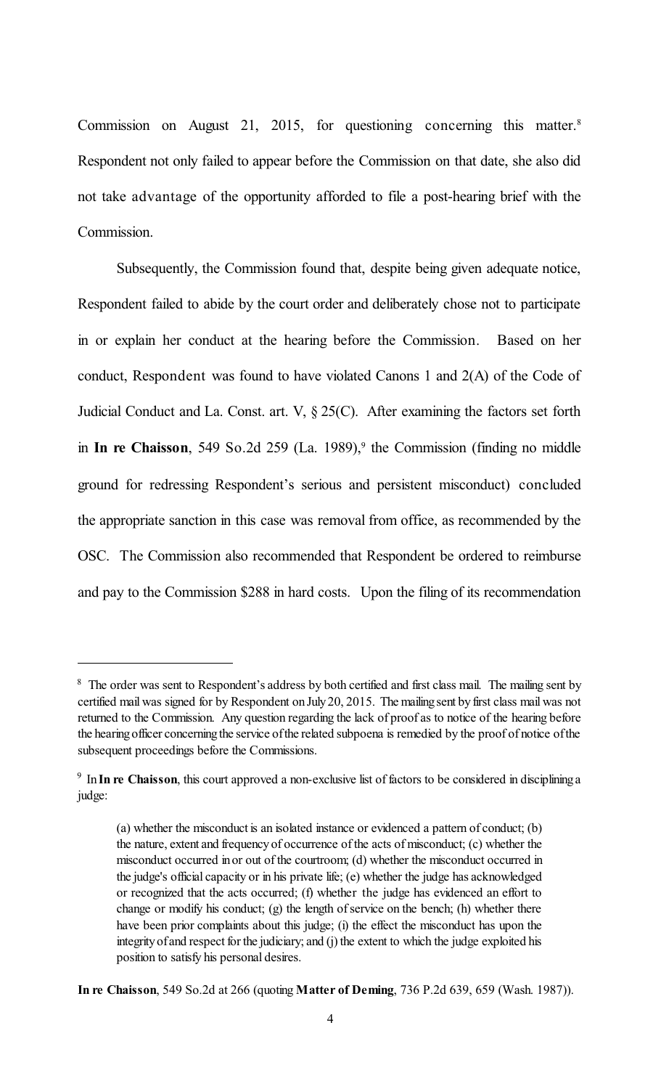Commission on August 21, 2015, for questioning concerning this matter. 8 Respondent not only failed to appear before the Commission on that date, she also did not take advantage of the opportunity afforded to file a post-hearing brief with the Commission.

Subsequently, the Commission found that, despite being given adequate notice, Respondent failed to abide by the court order and deliberately chose not to participate in or explain her conduct at the hearing before the Commission. Based on her conduct, Respondent was found to have violated Canons 1 and 2(A) of the Code of Judicial Conduct and La. Const. art. V, § 25(C). After examining the factors set forth in In re Chaisson, 549 So.2d 259 (La. 1989),<sup>9</sup> the Commission (finding no middle ground for redressing Respondent's serious and persistent misconduct) concluded the appropriate sanction in this case was removal from office, as recommended by the OSC. The Commission also recommended that Respondent be ordered to reimburse and pay to the Commission \$288 in hard costs. Upon the filing of its recommendation

<sup>&</sup>lt;sup>8</sup> The order was sent to Respondent's address by both certified and first class mail. The mailing sent by certified mail was signed for by Respondent on July 20, 2015. The mailing sent by first class mail was not returned to the Commission. Any question regarding the lack of proof as to notice of the hearing before the hearingofficer concerningthe service ofthe related subpoena is remedied by the proof of notice ofthe subsequent proceedings before the Commissions.

<sup>&</sup>lt;sup>9</sup> In In re Chaisson, this court approved a non-exclusive list of factors to be considered in disciplining a judge:

<sup>(</sup>a) whether the misconduct is an isolated instance or evidenced a pattern of conduct; (b) the nature, extent and frequencyof occurrence of the acts of misconduct; (c) whether the misconduct occurred inor out of the courtroom; (d) whether the misconduct occurred in the judge's official capacity or in his private life; (e) whether the judge has acknowledged or recognized that the acts occurred; (f) whether the judge has evidenced an effort to change or modify his conduct; (g) the length of service on the bench; (h) whether there have been prior complaints about this judge; (i) the effect the misconduct has upon the integrity of and respect for the judiciary; and (j) the extent to which the judge exploited his position to satisfy his personal desires.

**In re Chaisson**, 549 So.2d at 266 (quoting **Matter of Deming**, 736 P.2d 639, 659 (Wash. 1987)).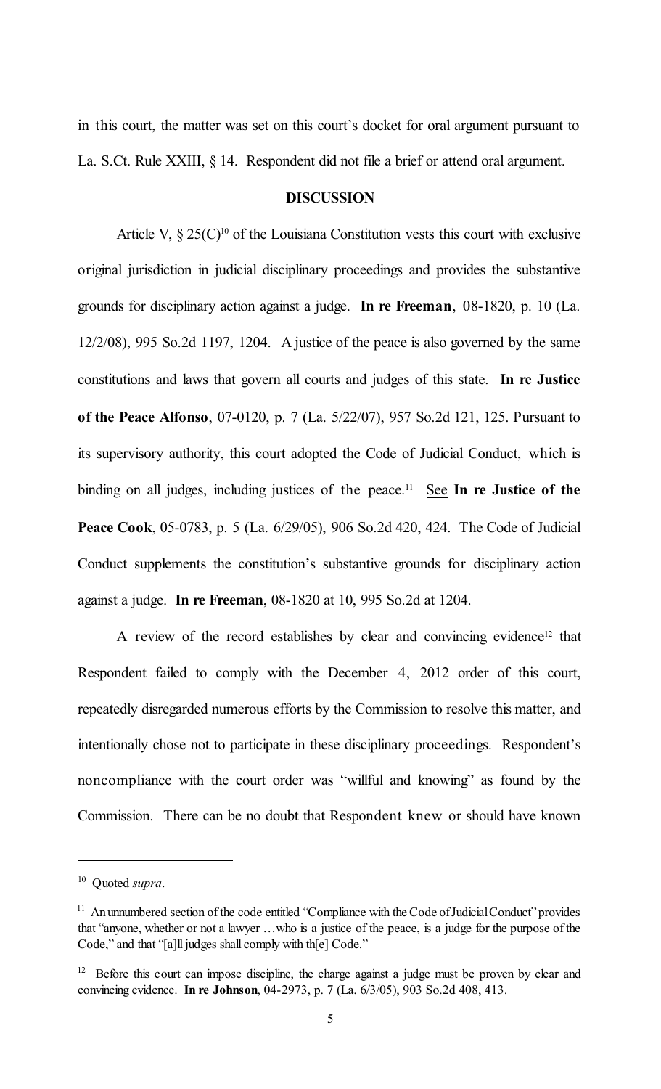in this court, the matter was set on this court's docket for oral argument pursuant to La. S.Ct. Rule XXIII, § 14. Respondent did not file a brief or attend oral argument.

#### **DISCUSSION**

Article V,  $\S 25(C)^{10}$  of the Louisiana Constitution vests this court with exclusive original jurisdiction in judicial disciplinary proceedings and provides the substantive grounds for disciplinary action against a judge. **In re Freeman**, 08-1820, p. 10 (La. 12/2/08), 995 So.2d 1197, 1204. A justice of the peace is also governed by the same constitutions and laws that govern all courts and judges of this state. **In re Justice of the Peace Alfonso**, 07-0120, p. 7 (La. 5/22/07), 957 So.2d 121, 125. Pursuant to its supervisory authority, this court adopted the Code of Judicial Conduct, which is binding on all judges, including justices of the peace.<sup>11</sup> See In re Justice of the **Peace Cook**, 05-0783, p. 5 (La. 6/29/05), 906 So.2d 420, 424. The Code of Judicial Conduct supplements the constitution's substantive grounds for disciplinary action against a judge. **In re Freeman**, 08-1820 at 10, 995 So.2d at 1204.

A review of the record establishes by clear and convincing evidence<sup>12</sup> that Respondent failed to comply with the December 4, 2012 order of this court, repeatedly disregarded numerous efforts by the Commission to resolve this matter, and intentionally chose not to participate in these disciplinary proceedings. Respondent's noncompliance with the court order was "willful and knowing" as found by the Commission. There can be no doubt that Respondent knew or should have known

<sup>&</sup>lt;sup>10</sup> Quoted *supra*.

<sup>&</sup>lt;sup>11</sup> An unnumbered section of the code entitled "Compliance with the Code of Judicial Conduct" provides that "anyone, whether or not a lawyer …who is a justice of the peace, is a judge for the purpose of the Code," and that "[a]ll judges shall comply with th[e] Code."

<sup>&</sup>lt;sup>12</sup> Before this court can impose discipline, the charge against a judge must be proven by clear and convincing evidence. **In re Johnson**, 04-2973, p. 7 (La. 6/3/05), 903 So.2d 408, 413.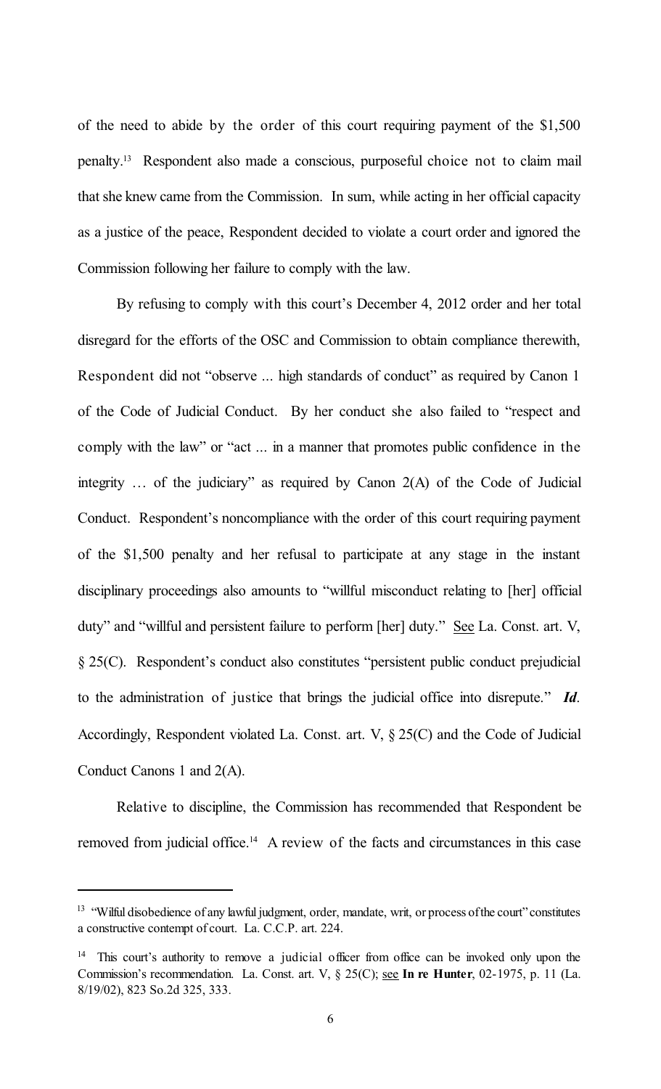of the need to abide by the order of this court requiring payment of the \$1,500 penalty.<sup>13</sup> Respondent also made a conscious, purposeful choice not to claim mail that she knew came from the Commission. In sum, while acting in her official capacity as a justice of the peace, Respondent decided to violate a court order and ignored the Commission following her failure to comply with the law.

By refusing to comply with this court's December 4, 2012 order and her total disregard for the efforts of the OSC and Commission to obtain compliance therewith, Respondent did not "observe ... high standards of conduct" as required by Canon 1 of the Code of Judicial Conduct. By her conduct she also failed to "respect and comply with the law" or "act ... in a manner that promotes public confidence in the integrity … of the judiciary" as required by Canon 2(A) of the Code of Judicial Conduct. Respondent's noncompliance with the order of this court requiring payment of the \$1,500 penalty and her refusal to participate at any stage in the instant disciplinary proceedings also amounts to "willful misconduct relating to [her] official duty" and "willful and persistent failure to perform [her] duty." See La. Const. art. V, § 25(C). Respondent's conduct also constitutes "persistent public conduct prejudicial to the administration of justice that brings the judicial office into disrepute." *Id*. Accordingly, Respondent violated La. Const. art. V, § 25(C) and the Code of Judicial Conduct Canons 1 and 2(A).

Relative to discipline, the Commission has recommended that Respondent be removed from judicial office.<sup>14</sup> A review of the facts and circumstances in this case

<sup>&</sup>lt;sup>13</sup> "Wilful disobedience of any lawful judgment, order, mandate, writ, or process of the court" constitutes a constructive contempt of court. La. C.C.P. art. 224.

<sup>&</sup>lt;sup>14</sup> This court's authority to remove a judicial officer from office can be invoked only upon the Commission's recommendation. La. Const. art. V, § 25(C); see **In re Hunter**, 02-1975, p. 11 (La. 8/19/02), 823 So.2d 325, 333.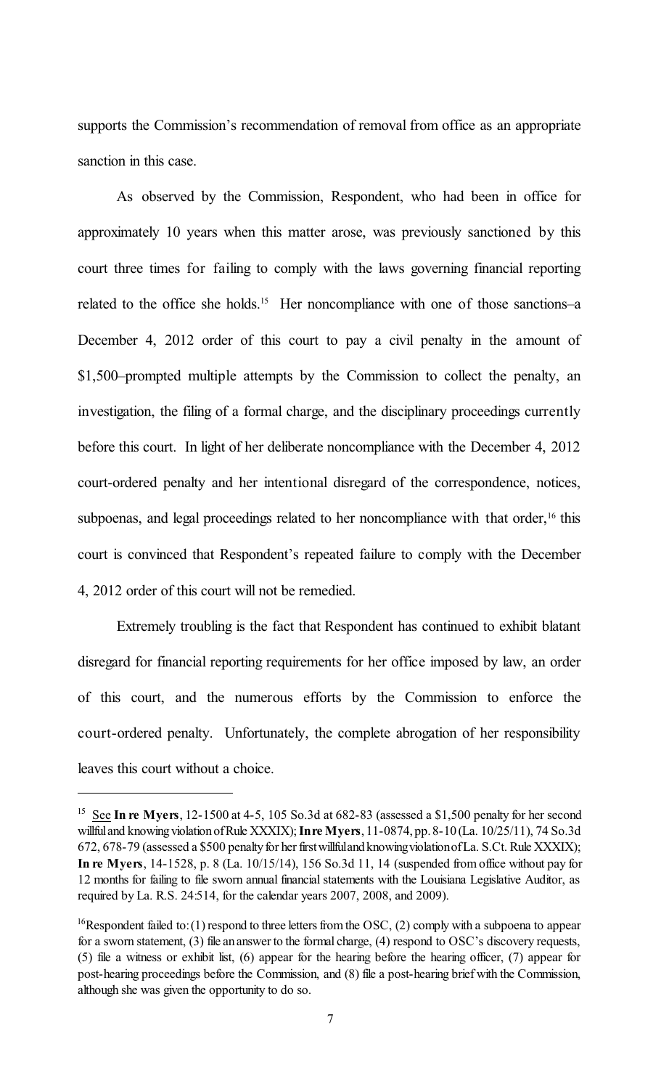supports the Commission's recommendation of removal from office as an appropriate sanction in this case.

As observed by the Commission, Respondent, who had been in office for approximately 10 years when this matter arose, was previously sanctioned by this court three times for failing to comply with the laws governing financial reporting related to the office she holds.<sup>15</sup> Her noncompliance with one of those sanctions–a December 4, 2012 order of this court to pay a civil penalty in the amount of \$1,500–prompted multiple attempts by the Commission to collect the penalty, an investigation, the filing of a formal charge, and the disciplinary proceedings currently before this court. In light of her deliberate noncompliance with the December 4, 2012 court-ordered penalty and her intentional disregard of the correspondence, notices, subpoenas, and legal proceedings related to her noncompliance with that order,<sup>16</sup> this court is convinced that Respondent's repeated failure to comply with the December 4, 2012 order of this court will not be remedied.

Extremely troubling is the fact that Respondent has continued to exhibit blatant disregard for financial reporting requirements for her office imposed by law, an order of this court, and the numerous efforts by the Commission to enforce the court-ordered penalty. Unfortunately, the complete abrogation of her responsibility leaves this court without a choice.

 $15$  See In re Myers, 12-1500 at 4-5, 105 So.3d at 682-83 (assessed a \$1,500 penalty for her second willfuland knowingviolationofRule XXXIX);**Inre Myers**, 11-0874, pp. 8-10 (La. 10/25/11), 74 So.3d 672, 678-79 (assessed a \$500 penalty for her first willfuland knowing violation of La. S.Ct. Rule XXXIX); **In re Myers**, 14-1528, p. 8 (La. 10/15/14), 156 So.3d 11, 14 (suspended from office without pay for 12 months for failing to file sworn annual financial statements with the Louisiana Legislative Auditor, as required by La. R.S. 24:514, for the calendar years 2007, 2008, and 2009).

<sup>&</sup>lt;sup>16</sup>Respondent failed to: (1) respond to three letters from the OSC, (2) comply with a subpoena to appear for a sworn statement, (3) file an answer to the formal charge, (4) respond to OSC's discovery requests, (5) file a witness or exhibit list, (6) appear for the hearing before the hearing officer, (7) appear for post-hearing proceedings before the Commission, and (8) file a post-hearing brief with the Commission, although she was given the opportunity to do so.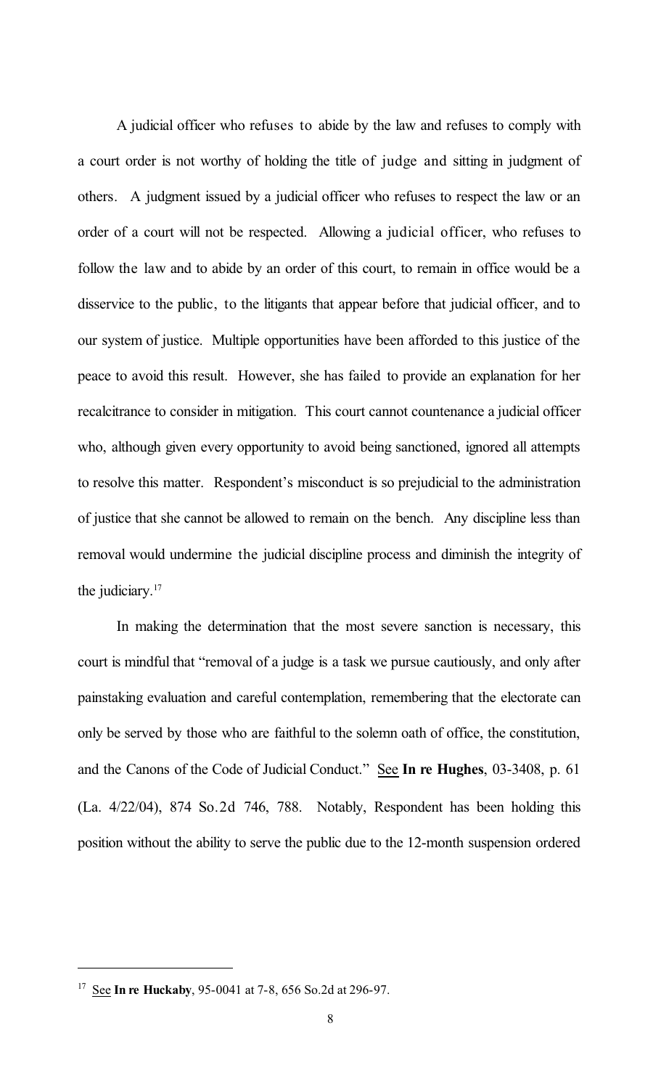A judicial officer who refuses to abide by the law and refuses to comply with a court order is not worthy of holding the title of judge and sitting in judgment of others. A judgment issued by a judicial officer who refuses to respect the law or an order of a court will not be respected. Allowing a judicial officer, who refuses to follow the law and to abide by an order of this court, to remain in office would be a disservice to the public, to the litigants that appear before that judicial officer, and to our system of justice. Multiple opportunities have been afforded to this justice of the peace to avoid this result. However, she has failed to provide an explanation for her recalcitrance to consider in mitigation. This court cannot countenance a judicial officer who, although given every opportunity to avoid being sanctioned, ignored all attempts to resolve this matter. Respondent's misconduct is so prejudicial to the administration of justice that she cannot be allowed to remain on the bench. Any discipline less than removal would undermine the judicial discipline process and diminish the integrity of the judiciary. 17

In making the determination that the most severe sanction is necessary, this court is mindful that "removal of a judge is a task we pursue cautiously, and only after painstaking evaluation and careful contemplation, remembering that the electorate can only be served by those who are faithful to the solemn oath of office, the constitution, and the Canons of the Code of Judicial Conduct." See **In re Hughes**, 03-3408, p. 61 (La. 4/22/04), 874 So.2d 746, 788. Notably, Respondent has been holding this position without the ability to serve the public due to the 12-month suspension ordered

<sup>&</sup>lt;sup>17</sup> See **In re Huckaby**, 95-0041 at 7-8, 656 So.2d at 296-97.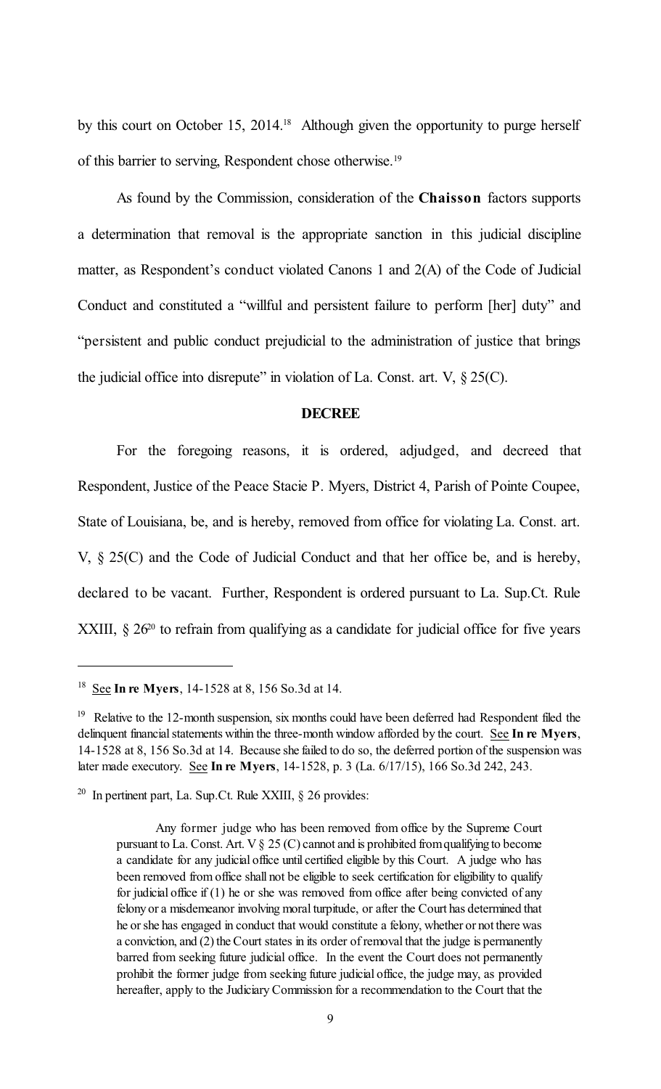by this court on October 15, 2014.<sup>18</sup> Although given the opportunity to purge herself of this barrier to serving, Respondent chose otherwise. 19

As found by the Commission, consideration of the **Chaisson** factors supports a determination that removal is the appropriate sanction in this judicial discipline matter, as Respondent's conduct violated Canons 1 and 2(A) of the Code of Judicial Conduct and constituted a "willful and persistent failure to perform [her] duty" and "persistent and public conduct prejudicial to the administration of justice that brings the judicial office into disrepute" in violation of La. Const. art.  $V$ ,  $\S 25(C)$ .

#### **DECREE**

For the foregoing reasons, it is ordered, adjudged, and decreed that Respondent, Justice of the Peace Stacie P. Myers, District 4, Parish of Pointe Coupee, State of Louisiana, be, and is hereby, removed from office for violating La. Const. art. V, § 25(C) and the Code of Judicial Conduct and that her office be, and is hereby, declared to be vacant. Further, Respondent is ordered pursuant to La. Sup.Ct. Rule XXIII,  $\S 26<sup>20</sup>$  to refrain from qualifying as a candidate for judicial office for five years

<sup>&</sup>lt;sup>18</sup> See **In re Myers**, 14-1528 at 8, 156 So.3d at 14.

<sup>&</sup>lt;sup>19</sup> Relative to the 12-month suspension, six months could have been deferred had Respondent filed the delinquent financial statements within the three-month window afforded by the court. See **In re Myers**, 14-1528 at 8, 156 So.3d at 14. Because she failed to do so, the deferred portion of the suspension was later made executory. See **In re Myers**, 14-1528, p. 3 (La. 6/17/15), 166 So.3d 242, 243.

<sup>&</sup>lt;sup>20</sup> In pertinent part, La. Sup.Ct. Rule XXIII,  $\S$  26 provides:

Any former judge who has been removed from office by the Supreme Court pursuant to La. Const. Art.  $V \S 25$  (C) cannot and is prohibited from qualifying to become a candidate for any judicial office until certified eligible by this Court. A judge who has been removed from office shall not be eligible to seek certification for eligibility to qualify for judicial office if (1) he or she was removed from office after being convicted of any felonyor a misdemeanor involving moral turpitude, or after the Court has determined that he orshe has engaged in conduct that would constitute a felony, whether or not there was a conviction, and  $(2)$  the Court states in its order of removal that the judge is permanently barred from seeking future judicial office. In the event the Court does not permanently prohibit the former judge from seeking future judicial office, the judge may, as provided hereafter, apply to the Judiciary Commission for a recommendation to the Court that the